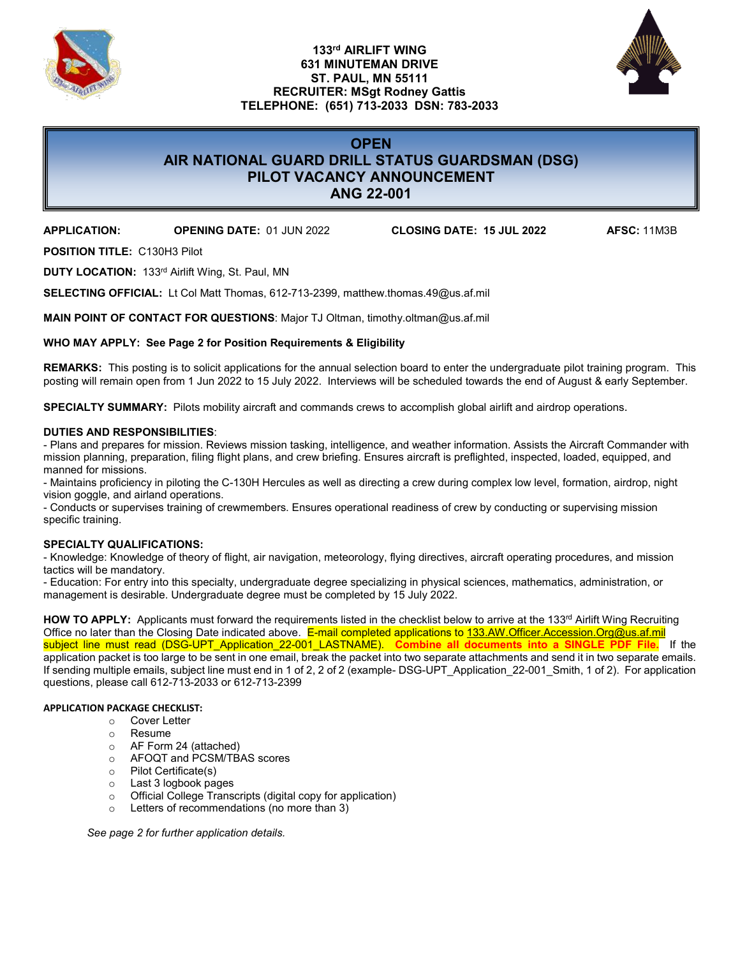

### **133rd AIRLIFT WING 631 MINUTEMAN DRIVE ST. PAUL, MN 55111 RECRUITER: MSgt Rodney Gattis TELEPHONE: (651) 713-2033 DSN: 783-2033**



## **OPEN AIR NATIONAL GUARD DRILL STATUS GUARDSMAN (DSG) PILOT VACANCY ANNOUNCEMENT ANG 22-001**

**APPLICATION: OPENING DATE:** 01 JUN 2022 **CLOSING DATE: 15 JUL 2022 AFSC:** 11M3B

**POSITION TITLE:** C130H3 Pilot

**DUTY LOCATION:** 133rd Airlift Wing, St. Paul, MN

**SELECTING OFFICIAL:** Lt Col Matt Thomas, 612-713-2399, matthew.thomas.49@us.af.mil

**MAIN POINT OF CONTACT FOR QUESTIONS**: Major TJ Oltman, timothy.oltman@us.af.mil

### **WHO MAY APPLY: See Page 2 for Position Requirements & Eligibility**

**REMARKS:** This posting is to solicit applications for the annual selection board to enter the undergraduate pilot training program. This posting will remain open from 1 Jun 2022 to 15 July 2022. Interviews will be scheduled towards the end of August & early September.

**SPECIALTY SUMMARY:** Pilots mobility aircraft and commands crews to accomplish global airlift and airdrop operations.

#### **DUTIES AND RESPONSIBILITIES**:

- Plans and prepares for mission. Reviews mission tasking, intelligence, and weather information. Assists the Aircraft Commander with mission planning, preparation, filing flight plans, and crew briefing. Ensures aircraft is preflighted, inspected, loaded, equipped, and manned for missions.

- Maintains proficiency in piloting the C-130H Hercules as well as directing a crew during complex low level, formation, airdrop, night vision goggle, and airland operations.

- Conducts or supervises training of crewmembers. Ensures operational readiness of crew by conducting or supervising mission specific training.

### **SPECIALTY QUALIFICATIONS:**

- Knowledge: Knowledge of theory of flight, air navigation, meteorology, flying directives, aircraft operating procedures, and mission tactics will be mandatory.

- Education: For entry into this specialty, undergraduate degree specializing in physical sciences, mathematics, administration, or management is desirable. Undergraduate degree must be completed by 15 July 2022.

HOW TO APPLY: Applicants must forward the requirements listed in the checklist below to arrive at the 133<sup>rd</sup> Airlift Wing Recruiting Office no later than the Closing Date indicated above. E-mail completed applications to [133.AW.Officer.Accession.Org@us.af.mil](mailto:133.AW.Officer.Accession.Org@us.af.mil) subject line must read (DSG-UPT\_Application\_22-001\_LASTNAME). **Combine all documents into a SINGLE PDF File.** If the application packet is too large to be sent in one email, break the packet into two separate attachments and send it in two separate emails. If sending multiple emails, subject line must end in 1 of 2, 2 of 2 (example- DSG-UPT\_Application\_22-001\_Smith, 1 of 2). For application questions, please call 612-713-2033 or 612-713-2399

#### **APPLICATION PACKAGE CHECKLIST:**

- o Cover Letter<br>o Resume
- 
- o Resume<br>○ AF Form AF Form 24 (attached)
- o AFOQT and PCSM/TBAS scores
- o Pilot Certificate(s)
- o Last 3 logbook pages
- o Official College Transcripts (digital copy for application)
- o Letters of recommendations (no more than 3)

*See page 2 for further application details.*